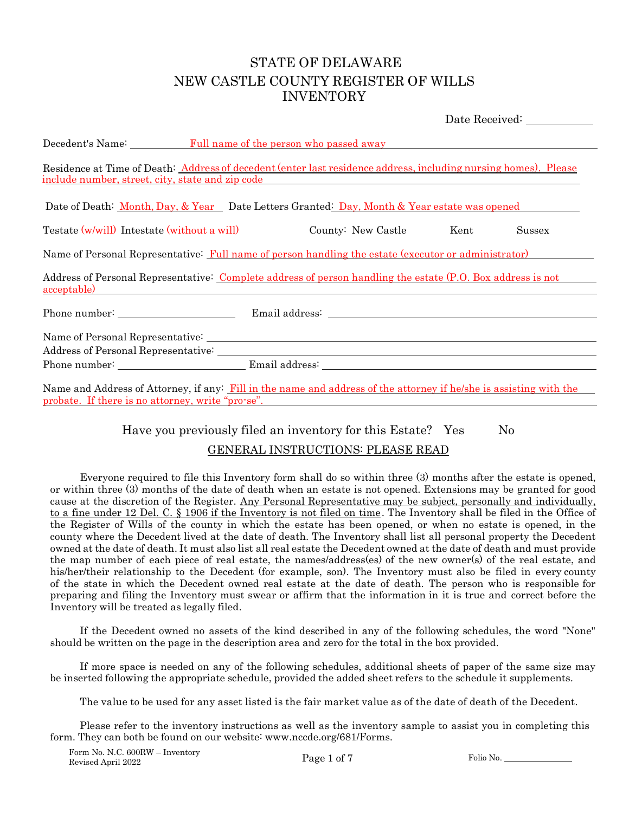## STATE OF DELAWARE NEW CASTLE COUNTY REGISTER OF WILLS INVENTORY

|                                                                                                                                                                                               |  |                    |      | Date Received: |
|-----------------------------------------------------------------------------------------------------------------------------------------------------------------------------------------------|--|--------------------|------|----------------|
| Decedent's Name: Full name of the person who passed away                                                                                                                                      |  |                    |      |                |
| Residence at Time of Death: Address of decedent (enter last residence address, including nursing homes). Please<br><u>include number, street, city, state and zip code</u>                    |  |                    |      |                |
| Date of Death: <u>Month, Day, &amp; Year</u> Date Letters Granted: Day, Month & Year estate was opened                                                                                        |  |                    |      |                |
| Testate (w/will) Intestate (without a will)                                                                                                                                                   |  | County: New Castle | Kent | Sussex         |
| Name of Personal Representative: Full name of person handling the estate (executor or administrator)                                                                                          |  |                    |      |                |
| Address of Personal Representative: Complete address of person handling the estate (P.O. Box address is not<br>acceptable)<br><u> 1989 - John Stein, Amerikaansk konstantinopler († 1989)</u> |  |                    |      |                |
| Phone number: Email address: Email address:                                                                                                                                                   |  |                    |      |                |
|                                                                                                                                                                                               |  |                    |      |                |
|                                                                                                                                                                                               |  |                    |      |                |
|                                                                                                                                                                                               |  |                    |      |                |
| Name and Address of Attorney, if any: Fill in the name and address of the attorney if he/she is assisting with the<br>probate. If there is no attorney, write "pro-se".                       |  |                    |      |                |

#### Have you previously filed an inventory for this Estate? Yes No

#### GENERAL INSTRUCTIONS: PLEASE READ

Everyone required to file this Inventory form shall do so within three (3) months after the estate is opened, or within three (3) months of the date of death when an estate is not opened. Extensions may be granted for good cause at the discretion of the Register. Any Personal Representative may be subject, personally and individually, to a fine under 12 Del. C. § 1906 if the Inventory is not filed on time. The Inventory shall be filed in the Office of the Register of Wills of the county in which the estate has been opened, or when no estate is opened, in the county where the Decedent lived at the date of death. The Inventory shall list all personal property the Decedent owned at the date of death. It must also list all real estate the Decedent owned at the date of death and must provide the map number of each piece of real estate, the names/address(es) of the new owner(s) of the real estate, and his/her/their relationship to the Decedent (for example, son). The Inventory must also be filed in every county of the state in which the Decedent owned real estate at the date of death. The person who is responsible for preparing and filing the Inventory must swear or affirm that the information in it is true and correct before the Inventory will be treated as legally filed.

If the Decedent owned no assets of the kind described in any of the following schedules, the word "None" should be written on the page in the description area and zero for the total in the box provided.

If more space is needed on any of the following schedules, additional sheets of paper of the same size may be inserted following the appropriate schedule, provided the added sheet refers to the schedule it supplements.

The value to be used for any asset listed is the fair market value as of the date of death of the Decedent.

Please refer to the inventory instructions as well as the inventory sample to assist you in completing this form. They can both be found on our website: [www.nccde.org/681/Forms.](http://www.nccde.org/681/Forms)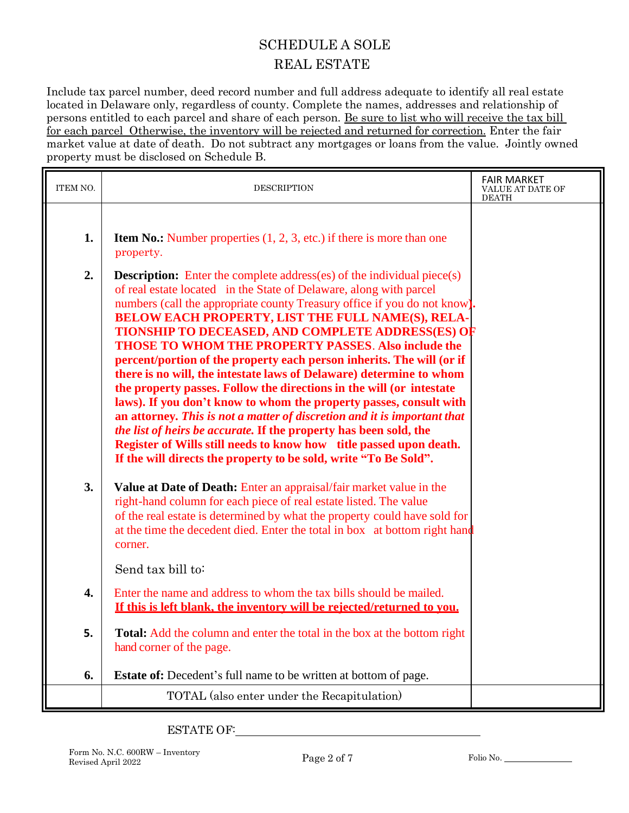## SCHEDULE A SOLE REAL ESTATE

Include tax parcel number, deed record number and full address adequate to identify all real estate located in Delaware only, regardless of county. Complete the names, addresses and relationship of persons entitled to each parcel and share of each person. Be sure to list who will receive the tax bill for each parcel Otherwise, the inventory will be rejected and returned for correction. Enter the fair market value at date of death. Do not subtract any mortgages or loans from the value. Jointly owned property must be disclosed on Schedule B.

| ITEM NO. | <b>DESCRIPTION</b>                                                                                                                                                                                                                                                                                                                                                                                                                                                                                                                                                                                                                                                                                                                                                                                                                                                                                                                                                                                                     | <b>FAIR MARKET</b><br>VALUE AT DATE OF<br><b>DEATH</b> |
|----------|------------------------------------------------------------------------------------------------------------------------------------------------------------------------------------------------------------------------------------------------------------------------------------------------------------------------------------------------------------------------------------------------------------------------------------------------------------------------------------------------------------------------------------------------------------------------------------------------------------------------------------------------------------------------------------------------------------------------------------------------------------------------------------------------------------------------------------------------------------------------------------------------------------------------------------------------------------------------------------------------------------------------|--------------------------------------------------------|
| 1.       | <b>Item No.:</b> Number properties $(1, 2, 3, \text{ etc.})$ if there is more than one<br>property.                                                                                                                                                                                                                                                                                                                                                                                                                                                                                                                                                                                                                                                                                                                                                                                                                                                                                                                    |                                                        |
| 2.       | <b>Description:</b> Enter the complete address(es) of the individual piece(s)<br>of real estate located in the State of Delaware, along with parcel<br>numbers (call the appropriate county Treasury office if you do not know).<br><b>BELOW EACH PROPERTY, LIST THE FULL NAME(S), RELA-</b><br><b>TIONSHIP TO DECEASED, AND COMPLETE ADDRESS(ES) OF</b><br><b>THOSE TO WHOM THE PROPERTY PASSES. Also include the</b><br>percent/portion of the property each person inherits. The will (or if<br>there is no will, the intestate laws of Delaware) determine to whom<br>the property passes. Follow the directions in the will (or intestate<br>laws). If you don't know to whom the property passes, consult with<br>an attorney. This is not a matter of discretion and it is important that<br><i>the list of heirs be accurate.</i> If the property has been sold, the<br>Register of Wills still needs to know how title passed upon death.<br>If the will directs the property to be sold, write "To Be Sold". |                                                        |
| 3.       | Value at Date of Death: Enter an appraisal/fair market value in the<br>right-hand column for each piece of real estate listed. The value<br>of the real estate is determined by what the property could have sold for<br>at the time the decedent died. Enter the total in box at bottom right hand<br>corner.<br>Send tax bill to:                                                                                                                                                                                                                                                                                                                                                                                                                                                                                                                                                                                                                                                                                    |                                                        |
| 4.       | Enter the name and address to whom the tax bills should be mailed.                                                                                                                                                                                                                                                                                                                                                                                                                                                                                                                                                                                                                                                                                                                                                                                                                                                                                                                                                     |                                                        |
|          | If this is left blank, the inventory will be rejected/returned to you.                                                                                                                                                                                                                                                                                                                                                                                                                                                                                                                                                                                                                                                                                                                                                                                                                                                                                                                                                 |                                                        |
| 5.       | <b>Total:</b> Add the column and enter the total in the box at the bottom right<br>hand corner of the page.                                                                                                                                                                                                                                                                                                                                                                                                                                                                                                                                                                                                                                                                                                                                                                                                                                                                                                            |                                                        |
| 6.       | <b>Estate of:</b> Decedent's full name to be written at bottom of page.                                                                                                                                                                                                                                                                                                                                                                                                                                                                                                                                                                                                                                                                                                                                                                                                                                                                                                                                                |                                                        |
|          | TOTAL (also enter under the Recapitulation)                                                                                                                                                                                                                                                                                                                                                                                                                                                                                                                                                                                                                                                                                                                                                                                                                                                                                                                                                                            |                                                        |

ESTATE OF: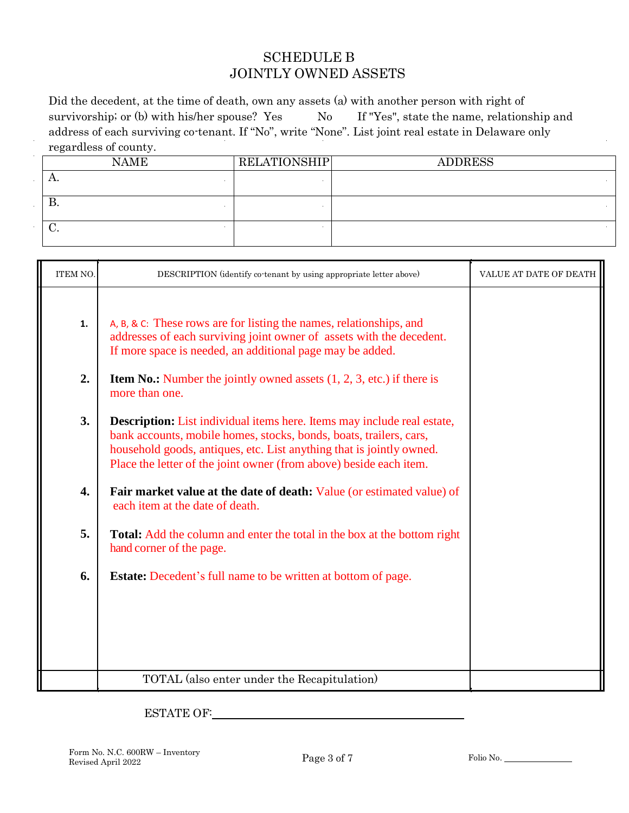#### SCHEDULE B JOINTLY OWNED ASSETS

Did the decedent, at the time of death, own any assets (a) with another person with right of survivorship; or (b) with his/her spouse? Yes No If "Yes", state the name, relationship and address of each surviving co-tenant. If "No", write "None". List joint real estate in Delaware only regardless of county.

| <b>NAME</b> | <b>RELATIONSHIP</b> | <b>ADDRESS</b> |
|-------------|---------------------|----------------|
| л.          |                     |                |
| D.          |                     |                |
| v.          |                     |                |

| ITEM NO. | DESCRIPTION (identify co-tenant by using appropriate letter above)                                                                                                                                                                                                                                 | VALUE AT DATE OF DEATH |
|----------|----------------------------------------------------------------------------------------------------------------------------------------------------------------------------------------------------------------------------------------------------------------------------------------------------|------------------------|
| 1.       | A, B, & C: These rows are for listing the names, relationships, and<br>addresses of each surviving joint owner of assets with the decedent.<br>If more space is needed, an additional page may be added.                                                                                           |                        |
| 2.       | <b>Item No.:</b> Number the jointly owned assets $(1, 2, 3, \text{ etc.})$ if there is<br>more than one.                                                                                                                                                                                           |                        |
| 3.       | <b>Description:</b> List individual items here. Items may include real estate,<br>bank accounts, mobile homes, stocks, bonds, boats, trailers, cars,<br>household goods, antiques, etc. List anything that is jointly owned.<br>Place the letter of the joint owner (from above) beside each item. |                        |
| 4.       | <b>Fair market value at the date of death:</b> Value (or estimated value) of<br>each item at the date of death.                                                                                                                                                                                    |                        |
| 5.       | <b>Total:</b> Add the column and enter the total in the box at the bottom right<br>hand corner of the page.                                                                                                                                                                                        |                        |
| 6.       | <b>Estate:</b> Decedent's full name to be written at bottom of page.                                                                                                                                                                                                                               |                        |
|          |                                                                                                                                                                                                                                                                                                    |                        |
|          | TOTAL (also enter under the Recapitulation)                                                                                                                                                                                                                                                        |                        |

ESTATE OF: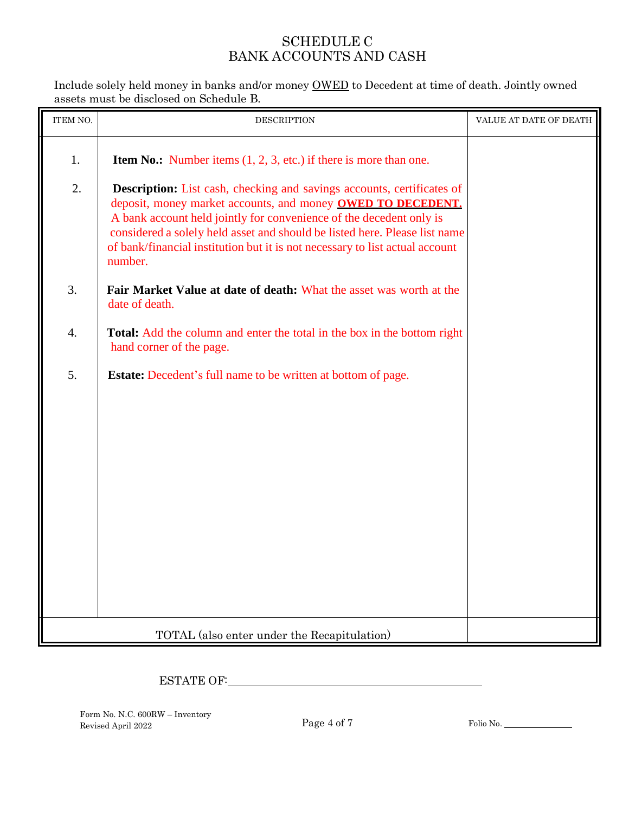## SCHEDULE C BANK ACCOUNTS AND CASH

Include solely held money in banks and/or money OWED to Decedent at time of death. Jointly owned assets must be disclosed on Schedule B.

| ITEM NO. | <b>DESCRIPTION</b>                                                                                                                                                                                                                                                                                                                                                                           | VALUE AT DATE OF DEATH |
|----------|----------------------------------------------------------------------------------------------------------------------------------------------------------------------------------------------------------------------------------------------------------------------------------------------------------------------------------------------------------------------------------------------|------------------------|
| 1.       | <b>Item No.:</b> Number items $(1, 2, 3, etc.)$ if there is more than one.                                                                                                                                                                                                                                                                                                                   |                        |
| 2.       | <b>Description:</b> List cash, checking and savings accounts, certificates of<br>deposit, money market accounts, and money OWED TO DECEDENT.<br>A bank account held jointly for convenience of the decedent only is<br>considered a solely held asset and should be listed here. Please list name<br>of bank/financial institution but it is not necessary to list actual account<br>number. |                        |
| 3.       | Fair Market Value at date of death: What the asset was worth at the<br>date of death.                                                                                                                                                                                                                                                                                                        |                        |
| 4.       | <b>Total:</b> Add the column and enter the total in the box in the bottom right<br>hand corner of the page.                                                                                                                                                                                                                                                                                  |                        |
| 5.       | <b>Estate:</b> Decedent's full name to be written at bottom of page.                                                                                                                                                                                                                                                                                                                         |                        |
|          |                                                                                                                                                                                                                                                                                                                                                                                              |                        |
|          |                                                                                                                                                                                                                                                                                                                                                                                              |                        |
|          |                                                                                                                                                                                                                                                                                                                                                                                              |                        |
|          |                                                                                                                                                                                                                                                                                                                                                                                              |                        |
|          |                                                                                                                                                                                                                                                                                                                                                                                              |                        |
|          | TOTAL (also enter under the Recapitulation)                                                                                                                                                                                                                                                                                                                                                  |                        |

# ESTATE OF:

Form No. N.C. 600RW – Inventory Revised April 2022 Page 4 of 7 Folio No.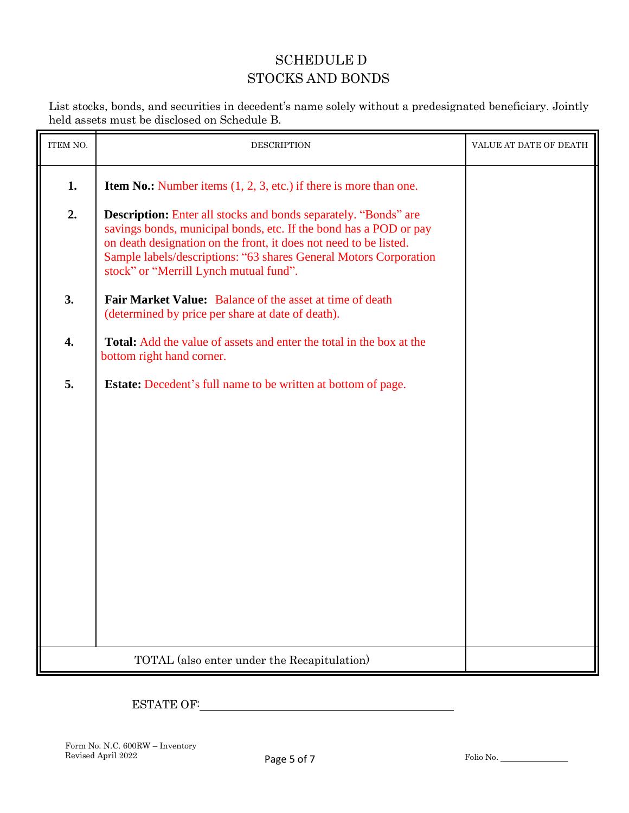## SCHEDULE D STOCKS AND BONDS

List stocks, bonds, and securities in decedent's name solely without a predesignated beneficiary. Jointly held assets must be disclosed on Schedule B.

| ITEM NO. | <b>DESCRIPTION</b>                                                                                                                                                                                                                                                                                                              | VALUE AT DATE OF DEATH |
|----------|---------------------------------------------------------------------------------------------------------------------------------------------------------------------------------------------------------------------------------------------------------------------------------------------------------------------------------|------------------------|
| 1.       | <b>Item No.:</b> Number items $(1, 2, 3, etc.)$ if there is more than one.                                                                                                                                                                                                                                                      |                        |
| 2.       | <b>Description:</b> Enter all stocks and bonds separately. "Bonds" are<br>savings bonds, municipal bonds, etc. If the bond has a POD or pay<br>on death designation on the front, it does not need to be listed.<br>Sample labels/descriptions: "63 shares General Motors Corporation<br>stock" or "Merrill Lynch mutual fund". |                        |
| 3.       | Fair Market Value: Balance of the asset at time of death<br>(determined by price per share at date of death).                                                                                                                                                                                                                   |                        |
| 4.       | <b>Total:</b> Add the value of assets and enter the total in the box at the<br>bottom right hand corner.                                                                                                                                                                                                                        |                        |
| 5.       | <b>Estate:</b> Decedent's full name to be written at bottom of page.                                                                                                                                                                                                                                                            |                        |
|          | TOTAL (also enter under the Recapitulation)                                                                                                                                                                                                                                                                                     |                        |

# ESTATE OF: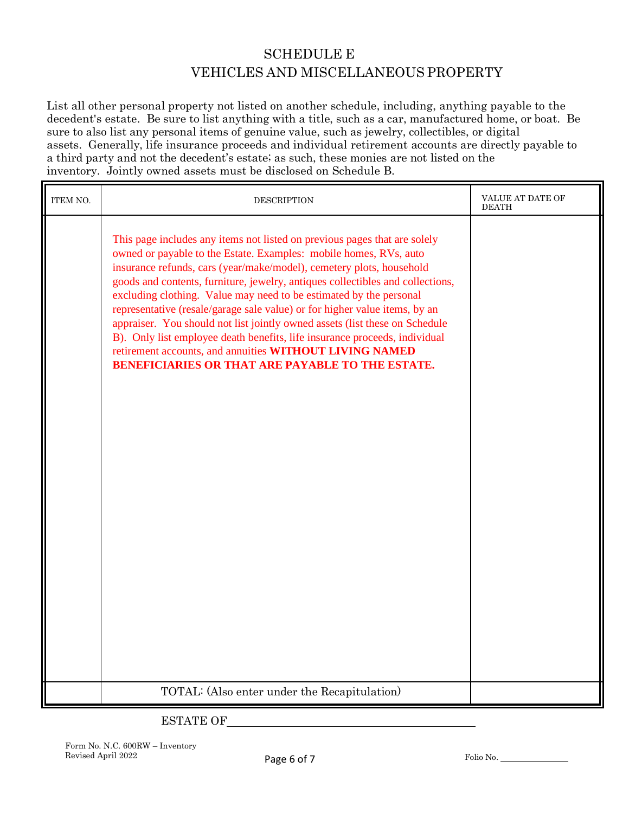## SCHEDULE E VEHICLES AND MISCELLANEOUS PROPERTY

List all other personal property not listed on another schedule, including, anything payable to the decedent's estate. Be sure to list anything with a title, such as a car, manufactured home, or boat. Be sure to also list any personal items of genuine value, such as jewelry, collectibles, or digital assets. Generally, life insurance proceeds and individual retirement accounts are directly payable to a third party and not the decedent's estate; as such, these monies are not listed on the inventory. Jointly owned assets must be disclosed on Schedule B.

| ITEM NO. | <b>DESCRIPTION</b>                                                                                                                                                                                                                                                                                                                                                                                                                                                                                                                                                                                                                                                                                                                              | VALUE AT DATE OF<br><b>DEATH</b> |
|----------|-------------------------------------------------------------------------------------------------------------------------------------------------------------------------------------------------------------------------------------------------------------------------------------------------------------------------------------------------------------------------------------------------------------------------------------------------------------------------------------------------------------------------------------------------------------------------------------------------------------------------------------------------------------------------------------------------------------------------------------------------|----------------------------------|
|          | This page includes any items not listed on previous pages that are solely<br>owned or payable to the Estate. Examples: mobile homes, RVs, auto<br>insurance refunds, cars (year/make/model), cemetery plots, household<br>goods and contents, furniture, jewelry, antiques collectibles and collections,<br>excluding clothing. Value may need to be estimated by the personal<br>representative (resale/garage sale value) or for higher value items, by an<br>appraiser. You should not list jointly owned assets (list these on Schedule<br>B). Only list employee death benefits, life insurance proceeds, individual<br>retirement accounts, and annuities WITHOUT LIVING NAMED<br><b>BENEFICIARIES OR THAT ARE PAYABLE TO THE ESTATE.</b> |                                  |
|          | TOTAL: (Also enter under the Recapitulation)                                                                                                                                                                                                                                                                                                                                                                                                                                                                                                                                                                                                                                                                                                    |                                  |

## ESTATE OF